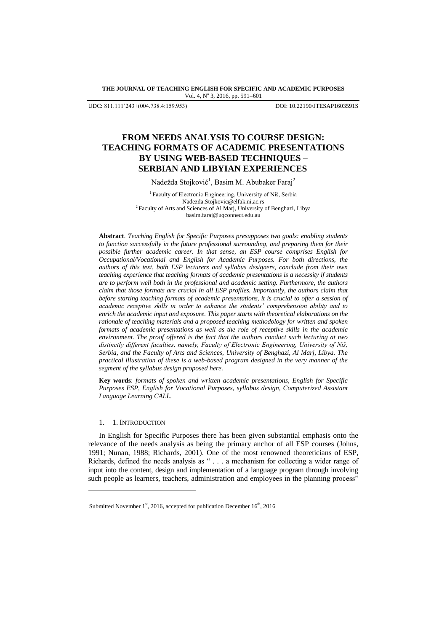**THE JOURNAL OF TEACHING ENGLISH FOR SPECIFIC AND ACADEMIC PURPOSES** Vol. 4, Nº 3, 2016, pp. 591-601

UDC: 811.111'243+(004.738.4:159.953) DOI: 10.22190/JTESAP1603591S

# **FROM NEEDS ANALYSIS TO COURSE DESIGN: TEACHING FORMATS OF ACADEMIC PRESENTATIONS BY USING WEB-BASED TECHNIQUES – SERBIAN AND LIBYIAN EXPERIENCES**

Nadežda Stojković<sup>1</sup>, Basim M. Abubaker Faraj<sup>2</sup>

<sup>1</sup> Faculty of Electronic Engineering, University of Niš, Serbia [Nadezda.Stojkovic@elfak.ni.ac.rs](mailto:Nadezda.Stojkovic@elfak.ni.ac.rs) <sup>2</sup>Faculty of Arts and Sciences of Al Marj, University of Benghazi, Libya [basim.faraj@uqconnect.edu.au](mailto:basim.faraj@uqconnect.edu.au)

**Abstract**. *Teaching English for Specific Purposes presupposes two goals: enabling students to function successfully in the future professional surrounding, and preparing them for their possible further academic career. In that sense, an ESP course comprises English for Occupational/Vocational and English for Academic Purposes. For both directions, the authors of this text, both ESP lecturers and syllabus designers, conclude from their own teaching experience that teaching formats of academic presentations is a necessity if students are to perform well both in the professional and academic setting. Furthermore, the authors claim that those formats are crucial in all ESP profiles. Importantly, the authors claim that before starting teaching formats of academic presentations, it is crucial to offer a session of academic receptive skills in order to enhance the students' comprehension ability and to enrich the academic input and exposure. This paper starts with theoretical elaborations on the rationale of teaching materials and a proposed teaching methodology for written and spoken formats of academic presentations as well as the role of receptive skills in the academic environment. The proof offered is the fact that the authors conduct such lecturing at two distinctly different faculties, namely, Faculty of Electronic Engineering, University of Niš, Serbia, and the Faculty of Arts and Sciences, University of Benghazi, Al Marj, Libya. The practical illustration of these is a web-based program designed in the very manner of the segment of the syllabus design proposed here.*

**Key words**: *formats of spoken and written academic presentations, English for Specific Purposes ESP, English for Vocational Purposes, syllabus design, Computerized Assistant Language Learning CALL.*

# 1. 1. INTRODUCTION

l

In English for Specific Purposes there has been given substantial emphasis onto the relevance of the needs analysis as being the primary anchor of all ESP courses [\(Johns,](#page-9-0)  [1991;](#page-9-0) [Nunan, 1988;](#page-9-1) [Richards, 2001\)](#page-10-0). One of the most renowned theoreticians of ESP, Richards, defined the needs analysis as " . . . a mechanism for collecting a wider range of input into the content, design and implementation of a language program through involving such people as learners, teachers, administration and employees in the planning process"

Submitted November 1<sup>st</sup>, 2016, accepted for publication December 16<sup>th</sup>, 2016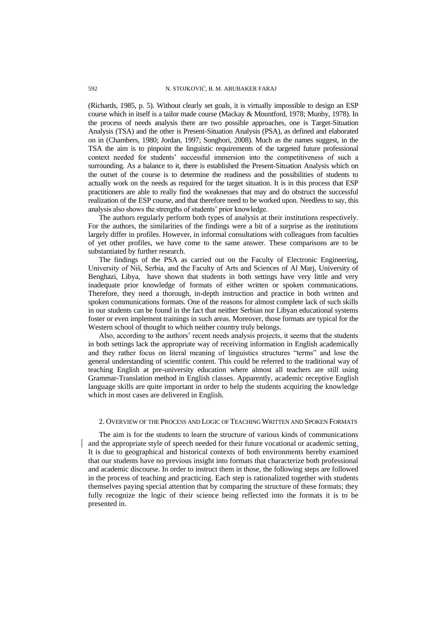[\(Richards, 1985, p. 5\)](#page-9-2). Without clearly set goals, it is virtually impossible to design an ESP course which in itself is a tailor made course [\(Mackay & Mountford, 1978;](#page-9-3) [Munby, 1978\)](#page-9-4). In the process of needs analysis there are two possible approaches, one is Target-Situation Analysis (TSA) and the other is Present-Situation Analysis (PSA), as defined and elaborated on in [\(Chambers, 1980;](#page-9-5) [Jordan, 1997;](#page-9-6) [Songhori, 2008\)](#page-10-1). Much as the names suggest, in the TSA the aim is to pinpoint the linguistic requirements of the targeted future professional context needed for students" successful immersion into the competitiveness of such a surrounding. As a balance to it, there is established the Present-Situation Analysis which on the outset of the course is to determine the readiness and the possibilities of students to actually work on the needs as required for the target situation. It is in this process that ESP practitioners are able to really find the weaknesses that may and do obstruct the successful realization of the ESP course, and that therefore need to be worked upon. Needless to say, this analysis also shows the strengths of students" prior knowledge.

The authors regularly perform both types of analysis at their institutions respectively. For the authors, the similarities of the findings were a bit of a surprise as the institutions largely differ in profiles. However, in informal consultations with colleagues from faculties of yet other profiles, we have come to the same answer. These comparisons are to be substantiated by further research.

The findings of the PSA as carried out on the Faculty of Electronic Engineering, University of Niš, Serbia, and the Faculty of Arts and Sciences of Al Marj, University of Benghazi, Libya, have shown that students in both settings have very little and very inadequate prior knowledge of formats of either written or spoken communications. Therefore, they need a thorough, in-depth instruction and practice in both written and spoken communications formats. One of the reasons for almost complete lack of such skills in our students can be found in the fact that neither Serbian nor Libyan educational systems foster or even implement trainings in such areas. Moreover, those formats are typical for the Western school of thought to which neither country truly belongs.

Also, according to the authors' recent needs analysis projects, it seems that the students in both settings lack the appropriate way of receiving information in English academically and they rather focus on literal meaning of linguistics structures "terms" and lose the general understanding of scientific content. This could be referred to the traditional way of teaching English at pre-university education where almost all teachers are still using Grammar-Translation method in English classes. Apparently, academic receptive English language skills are quite important in order to help the students acquiring the knowledge which in most cases are delivered in English.

# 2. OVERVIEW OF THE PROCESS AND LOGIC OF TEACHING WRITTEN AND SPOKEN FORMATS

The aim is for the students to learn the structure of various kinds of communications and the appropriate style of speech needed for their future vocational or academic setting. It is due to geographical and historical contexts of both environments hereby examined that our students have no previous insight into formats that characterize both professional and academic discourse. In order to instruct them in those, the following steps are followed in the process of teaching and practicing. Each step is rationalized together with students themselves paying special attention that by comparing the structure of these formats; they fully recognize the logic of their science being reflected into the formats it is to be presented in.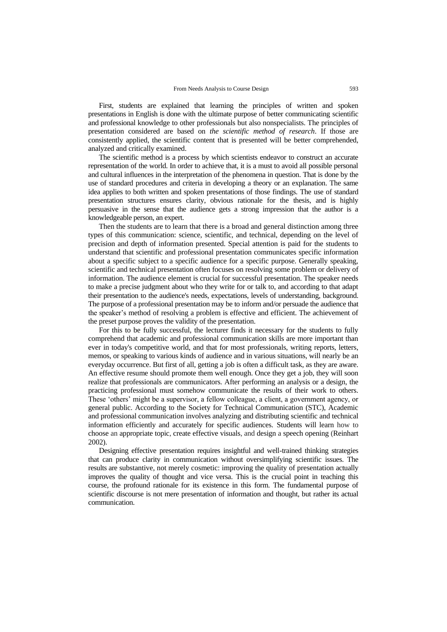First, students are explained that learning the principles of written and spoken presentations in English is done with the ultimate purpose of better communicating scientific and professional knowledge to other professionals but also nonspecialists. The principles of presentation considered are based on *the scientific method of research*. If those are consistently applied, the scientific content that is presented will be better comprehended, analyzed and critically examined.

The scientific method is a process by which scientists endeavor to construct an accurate representation of the world. In order to achieve that, it is a must to avoid all possible personal and cultural influences in the interpretation of the phenomena in question. That is done by the use of standard procedures and criteria in developing a theory or an explanation. The same idea applies to both written and spoken presentations of those findings. The use of standard presentation structures ensures clarity, obvious rationale for the thesis, and is highly persuasive in the sense that the audience gets a strong impression that the author is a knowledgeable person, an expert.

Then the students are to learn that there is a broad and general distinction among three types of this communication: science, scientific, and technical, depending on the level of precision and depth of information presented. Special attention is paid for the students to understand that scientific and professional presentation communicates specific information about a specific subject to a specific audience for a specific purpose. Generally speaking, scientific and technical presentation often focuses on resolving some problem or delivery of information. The audience element is crucial for successful presentation. The speaker needs to make a precise judgment about who they write for or talk to, and according to that adapt their presentation to the audience's needs, expectations, levels of understanding, background. The purpose of a professional presentation may be to inform and/or persuade the audience that the speaker"s method of resolving a problem is effective and efficient. The achievement of the preset purpose proves the validity of the presentation.

For this to be fully successful, the lecturer finds it necessary for the students to fully comprehend that academic and professional communication skills are more important than ever in today's competitive world, and that for most professionals, writing reports, letters, memos, or speaking to various kinds of audience and in various situations, will nearly be an everyday occurrence. But first of all, getting a job is often a difficult task, as they are aware. An effective resume should promote them well enough. Once they get a job, they will soon realize that professionals are communicators*.* After performing an analysis or a design, the practicing professional must somehow communicate the results of their work to others. These 'others' might be a supervisor, a fellow colleague, a client, a government agency, or general public. According to the Society for Technical Communication (STC), Academic and professional communication involves analyzing and distributing scientific and technical information efficiently and accurately for specific audiences. Students will learn how to choose an appropriate topic, create effective visuals, and design a speech opening (Reinhart 2002).

Designing effective presentation requires insightful and well-trained thinking strategies that can produce clarity in communication without oversimplifying scientific issues. The results are substantive, not merely cosmetic: improving the quality of presentation actually improves the quality of thought and vice versa. This is the crucial point in teaching this course, the profound rationale for its existence in this form. The fundamental purpose of scientific discourse is not mere presentation of information and thought, but rather its actual communication.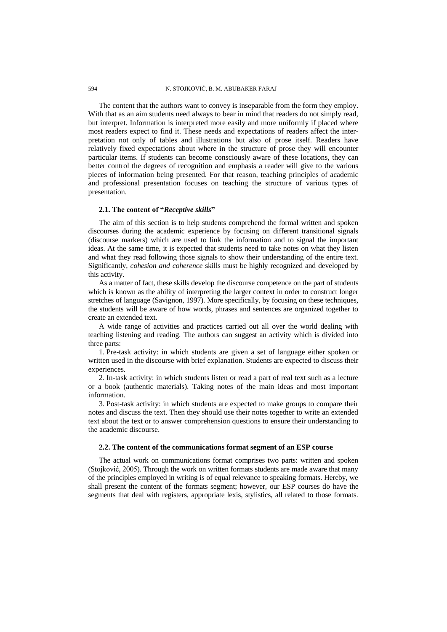The content that the authors want to convey is inseparable from the form they employ. With that as an aim students need always to bear in mind that readers do not simply read, but interpret. Information is interpreted more easily and more uniformly if placed where most readers expect to find it. These needs and expectations of readers affect the interpretation not only of tables and illustrations but also of prose itself. Readers have relatively fixed expectations about where in the structure of prose they will encounter particular items. If students can become consciously aware of these locations, they can better control the degrees of recognition and emphasis a reader will give to the various pieces of information being presented. For that reason, teaching principles of academic and professional presentation focuses on teaching the structure of various types of presentation.

## **2.1. The content of "***Receptive skills***"**

The aim of this section is to help students comprehend the formal written and spoken discourses during the academic experience by focusing on different transitional signals (discourse markers) which are used to link the information and to signal the important ideas. At the same time, it is expected that students need to take notes on what they listen and what they read following those signals to show their understanding of the entire text. Significantly, *cohesion and coherence* skills must be highly recognized and developed by this activity.

As a matter of fact, these skills develop the discourse competence on the part of students which is known as the ability of interpreting the larger context in order to construct longer stretches of language [\(Savignon, 1997\)](#page-10-2). More specifically, by focusing on these techniques, the students will be aware of how words, phrases and sentences are organized together to create an extended text.

A wide range of activities and practices carried out all over the world dealing with teaching listening and reading. The authors can suggest an activity which is divided into three parts:

1. Pre-task activity: in which students are given a set of language either spoken or written used in the discourse with brief explanation. Students are expected to discuss their experiences.

2. In-task activity: in which students listen or read a part of real text such as a lecture or a book (authentic materials). Taking notes of the main ideas and most important information.

3. Post-task activity: in which students are expected to make groups to compare their notes and discuss the text. Then they should use their notes together to write an extended text about the text or to answer comprehension questions to ensure their understanding to the academic discourse.

## **2.2. The content of the communications format segment of an ESP course**

The actual work on communications format comprises two parts: written and spoken [\(Stojković, 2005\)](#page-10-3). Through the work on written formats students are made aware that many of the principles employed in writing is of equal relevance to speaking formats. Hereby, we shall present the content of the formats segment; however, our ESP courses do have the segments that deal with registers, appropriate lexis, stylistics, all related to those formats.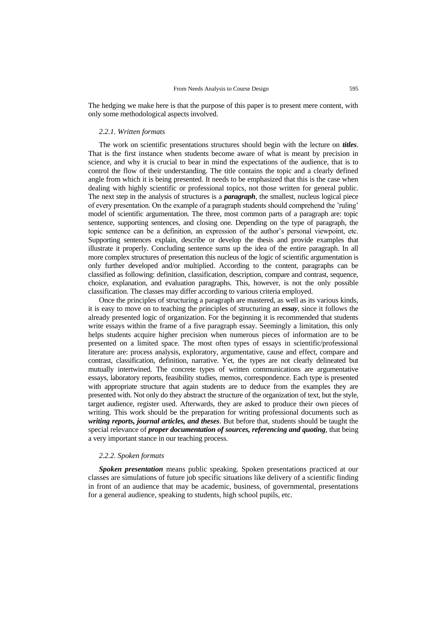The hedging we make here is that the purpose of this paper is to present mere content, with only some methodological aspects involved.

## *2.2.1. Written formats*

The work on scientific presentations structures should begin with the lecture on *titles*. That is the first instance when students become aware of what is meant by precision in science, and why it is crucial to bear in mind the expectations of the audience, that is to control the flow of their understanding. The title contains the topic and a clearly defined angle from which it is being presented. It needs to be emphasized that this is the case when dealing with highly scientific or professional topics, not those written for general public. The next step in the analysis of structures is a *paragraph*, the smallest, nucleus logical piece of every presentation. On the example of a paragraph students should comprehend the "ruling" model of scientific argumentation. The three, most common parts of a paragraph are: topic sentence, supporting sentences, and closing one. Depending on the type of paragraph, the topic sentence can be a definition, an expression of the author"s personal viewpoint, etc. Supporting sentences explain, describe or develop the thesis and provide examples that illustrate it properly. Concluding sentence sums up the idea of the entire paragraph. In all more complex structures of presentation this nucleus of the logic of scientific argumentation is only further developed and/or multiplied. According to the content, paragraphs can be classified as following: definition, classification, description, compare and contrast, sequence, choice, explanation, and evaluation paragraphs. This, however, is not the only possible classification. The classes may differ according to various criteria employed.

Once the principles of structuring a paragraph are mastered, as well as its various kinds, it is easy to move on to teaching the principles of structuring an *essay*, since it follows the already presented logic of organization. For the beginning it is recommended that students write essays within the frame of a five paragraph essay. Seemingly a limitation, this only helps students acquire higher precision when numerous pieces of information are to be presented on a limited space. The most often types of essays in scientific/professional literature are: process analysis, exploratory, argumentative, cause and effect, compare and contrast, classification, definition, narrative. Yet, the types are not clearly delineated but mutually intertwined. The concrete types of written communications are argumentative essays, laboratory reports, feasibility studies, memos, correspondence. Each type is presented with appropriate structure that again students are to deduce from the examples they are presented with. Not only do they abstract the structure of the organization of text, but the style, target audience, register used. Afterwards, they are asked to produce their own pieces of writing. This work should be the preparation for writing professional documents such as *writing reports, journal articles, and theses*. But before that, students should be taught the special relevance of *proper documentation of sources, referencing and quoting,* that being a very important stance in our teaching process.

## *2.2.2. Spoken formats*

*Spoken presentation* means public speaking. Spoken presentations practiced at our classes are simulations of future job specific situations like delivery of a scientific finding in front of an audience that may be academic, business, of governmental, presentations for a general audience, speaking to students, high school pupils, etc.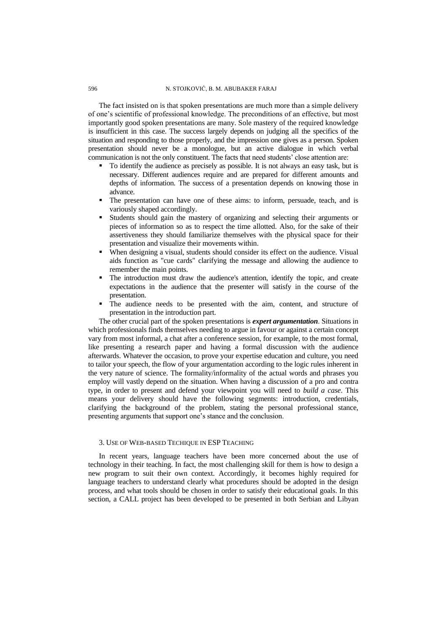The fact insisted on is that spoken presentations are much more than a simple delivery of one"s scientific of professional knowledge. The preconditions of an effective, but most importantly good spoken presentations are many. Sole mastery of the required knowledge is insufficient in this case. The success largely depends on judging all the specifics of the situation and responding to those properly, and the impression one gives as a person. Spoken presentation should never be a monologue, but an active dialogue in which verbal communication is not the only constituent. The facts that need students" close attention are:

- To identify the audience as precisely as possible. It is not always an easy task, but is necessary. Different audiences require and are prepared for different amounts and depths of information. The success of a presentation depends on knowing those in advance.
- The presentation can have one of these aims: to inform, persuade, teach, and is variously shaped accordingly.
- Students should gain the mastery of organizing and selecting their arguments or pieces of information so as to respect the time allotted. Also, for the sake of their assertiveness they should familiarize themselves with the physical space for their presentation and visualize their movements within.
- When designing a visual, students should consider its effect on the audience. Visual aids function as "cue cards" clarifying the message and allowing the audience to remember the main points.
- The introduction must draw the audience's attention, identify the topic, and create expectations in the audience that the presenter will satisfy in the course of the presentation.
- The audience needs to be presented with the aim, content, and structure of presentation in the introduction part.

The other crucial part of the spoken presentations is *expert argumentation*. Situations in which professionals finds themselves needing to argue in favour or against a certain concept vary from most informal, a chat after a conference session, for example, to the most formal, like presenting a research paper and having a formal discussion with the audience afterwards. Whatever the occasion, to prove your expertise education and culture, you need to tailor your speech, the flow of your argumentation according to the logic rules inherent in the very nature of science. The formality/informality of the actual words and phrases you employ will vastly depend on the situation. When having a discussion of a pro and contra type, in order to present and defend your viewpoint you will need to *build a case*. This means your delivery should have the following segments: introduction, credentials, clarifying the background of the problem, stating the personal professional stance, presenting arguments that support one"s stance and the conclusion.

## 3. USE OF WEB-BASED TECHIQUE IN ESP TEACHING

In recent years, language teachers have been more concerned about the use of technology in their teaching. In fact, the most challenging skill for them is how to design a new program to suit their own context. Accordingly, it becomes highly required for language teachers to understand clearly what procedures should be adopted in the design process, and what tools should be chosen in order to satisfy their educational goals. In this section, a CALL project has been developed to be presented in both Serbian and Libyan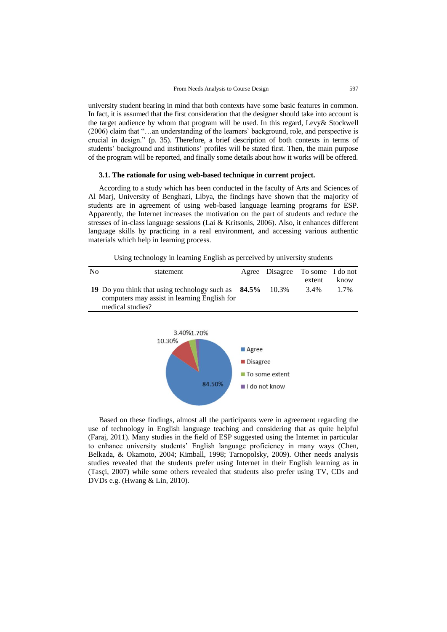university student bearing in mind that both contexts have some basic features in common. In fact, it is assumed that the first consideration that the designer should take into account is the target audience by whom that program will be used. In this regard, Levy& Stockwell (2006) claim that "…an understanding of the learners` background, role, and perspective is crucial in design." [\(p. 35\)](#page-9-7). Therefore, a brief description of both contexts in terms of students' background and institutions' profiles will be stated first. Then, the main purpose of the program will be reported, and finally some details about how it works will be offered.

## **3.1. The rationale for using web-based technique in current project.**

According to a study which has been conducted in the faculty of Arts and Sciences of Al Marj, University of Benghazi, Libya, the findings have shown that the majority of students are in agreement of using web-based language learning programs for ESP. Apparently, the Internet increases the motivation on the part of students and reduce the stresses of in-class language sessions [\(Lai & Kritsonis, 2006\)](#page-9-8). Also, it enhances different language skills by practicing in a real environment, and accessing various authentic materials which help in learning process.

| N <sub>0</sub> | statement                                                 | Agree Disagree To some I do not |        |      |
|----------------|-----------------------------------------------------------|---------------------------------|--------|------|
|                |                                                           |                                 | extent | know |
|                | 19 Do you think that using technology such as 84.5% 10.3% |                                 | 3.4%   | 1.7% |
|                | computers may assist in learning English for              |                                 |        |      |
|                | medical studies?                                          |                                 |        |      |



Based on these findings, almost all the participants were in agreement regarding the use of technology in English language teaching and considering that as quite helpful [\(Faraj, 2011\)](#page-9-9). Many studies in the field of ESP suggested using the Internet in particular to enhance university students" English language proficiency in many ways [\(Chen,](#page-9-10)  [Belkada, & Okamoto, 2004;](#page-9-10) [Kimball, 1998;](#page-9-11) [Tarnopolsky, 2009\)](#page-10-4). Other needs analysis studies revealed that the students prefer using Internet in their English learning as in [\(Tasçi, 2007\)](#page-10-5) while some others revealed that students also prefer using TV, CDs and DVDs e.g. [\(Hwang & Lin, 2010\)](#page-9-12).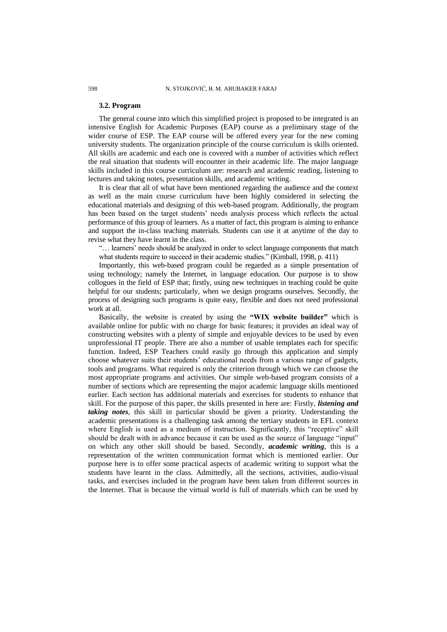### **3.2. Program**

The general course into which this simplified project is proposed to be integrated is an intensive English for Academic Purposes (EAP) course as a preliminary stage of the wider course of ESP. The EAP course will be offered every year for the new coming university students. The organization principle of the course curriculum is skills oriented. All skills are academic and each one is covered with a number of activities which reflect the real situation that students will encounter in their academic life. The major language skills included in this course curriculum are: research and academic reading, listening to lectures and taking notes, presentation skills, and academic writing.

It is clear that all of what have been mentioned regarding the audience and the context as well as the main course curriculum have been highly considered in selecting the educational materials and designing of this web-based program. Additionally, the program has been based on the target students' needs analysis process which reflects the actual performance of this group of learners. As a matter of fact, this program is aiming to enhance and support the in-class teaching materials. Students can use it at anytime of the day to revise what they have learnt in the class.

"... learners' needs should be analyzed in order to select language components that match what students require to succeed in their academic studies." [\(Kimball, 1998, p. 411\)](#page-9-11)

Importantly, this web-based program could be regarded as a simple presentation of using technology; namely the Internet, in language education. Our purpose is to show collogues in the field of ESP that; firstly, using new techniques in teaching could be quite helpful for our students; particularly, when we design programs ourselves. Secondly, the process of designing such programs is quite easy, flexible and does not need professional work at all.

Basically, the website is created by using the **"WIX website builder"** which is available online for public with no charge for basic features; it provides an ideal way of constructing websites with a plenty of simple and enjoyable devices to be used by even unprofessional IT people. There are also a number of usable templates each for specific function. Indeed, ESP Teachers could easily go through this application and simply choose whatever suits their students" educational needs from a various range of gadgets, tools and programs. What required is only the criterion through which we can choose the most appropriate programs and activities. Our simple web-based program consists of a number of sections which are representing the major academic language skills mentioned earlier. Each section has additional materials and exercises for students to enhance that skill. For the purpose of this paper, the skills presented in here are: Firstly, *listening and taking notes*, this skill in particular should be given a priority. Understanding the academic presentations is a challenging task among the tertiary students in EFL context where English is used as a medium of instruction. Significantly, this "receptive" skill should be dealt with in advance because it can be used as the source of language "input" on which any other skill should be based. Secondly, *academic writing*, this is a representation of the written communication format which is mentioned earlier. Our purpose here is to offer some practical aspects of academic writing to support what the students have learnt in the class. Admittedly, all the sections, activities, audio-visual tasks, and exercises included in the program have been taken from different sources in the Internet. That is because the virtual world is full of materials which can be used by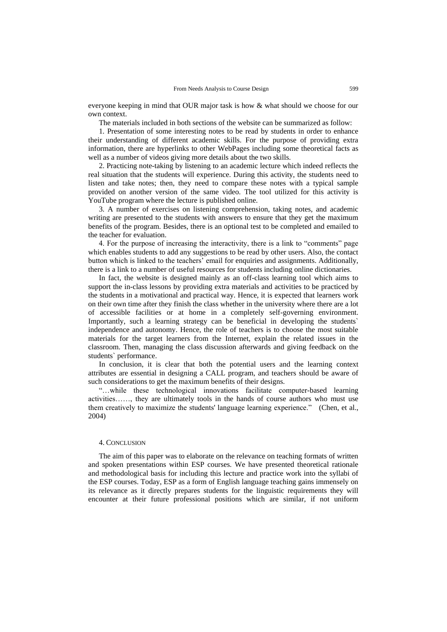everyone keeping in mind that OUR major task is how & what should we choose for our own context.

The materials included in both sections of the website can be summarized as follow:

1. Presentation of some interesting notes to be read by students in order to enhance their understanding of different academic skills. For the purpose of providing extra information, there are hyperlinks to other WebPages including some theoretical facts as well as a number of videos giving more details about the two skills.

2. Practicing note-taking by listening to an academic lecture which indeed reflects the real situation that the students will experience. During this activity, the students need to listen and take notes; then, they need to compare these notes with a typical sample provided on another version of the same video. The tool utilized for this activity is YouTube program where the lecture is published online.

3. A number of exercises on listening comprehension, taking notes, and academic writing are presented to the students with answers to ensure that they get the maximum benefits of the program. Besides, there is an optional test to be completed and emailed to the teacher for evaluation.

4. For the purpose of increasing the interactivity, there is a link to "comments" page which enables students to add any suggestions to be read by other users. Also, the contact button which is linked to the teachers" email for enquiries and assignments. Additionally, there is a link to a number of useful resources for students including online dictionaries.

In fact, the website is designed mainly as an off-class learning tool which aims to support the in-class lessons by providing extra materials and activities to be practiced by the students in a motivational and practical way. Hence, it is expected that learners work on their own time after they finish the class whether in the university where there are a lot of accessible facilities or at home in a completely self-governing environment. Importantly, such a learning strategy can be beneficial in developing the students` independence and autonomy. Hence, the role of teachers is to choose the most suitable materials for the target learners from the Internet, explain the related issues in the classroom. Then, managing the class discussion afterwards and giving feedback on the students` performance.

In conclusion, it is clear that both the potential users and the learning context attributes are essential in designing a CALL program, and teachers should be aware of such considerations to get the maximum benefits of their designs.

"…while these technological innovations facilitate computer-based learning activities……, they are ultimately tools in the hands of course authors who must use them creatively to maximize the students' language learning experience." [\(Chen, et al.,](#page-9-10)  [2004\)](#page-9-10)

### 4. CONCLUSION

The aim of this paper was to elaborate on the relevance on teaching formats of written and spoken presentations within ESP courses. We have presented theoretical rationale and methodological basis for including this lecture and practice work into the syllabi of the ESP courses. Today, ESP as a form of English language teaching gains immensely on its relevance as it directly prepares students for the linguistic requirements they will encounter at their future professional positions which are similar, if not uniform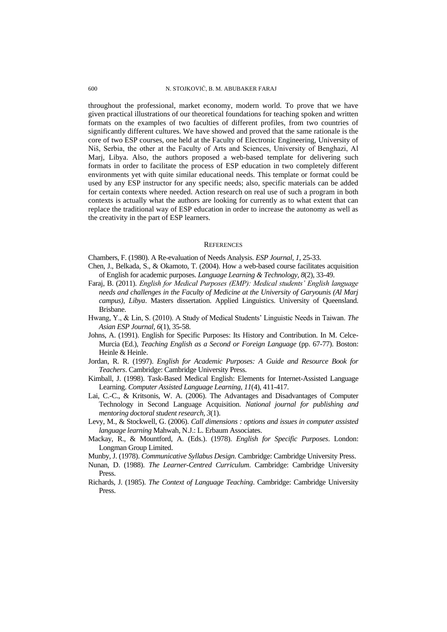throughout the professional, market economy, modern world. To prove that we have given practical illustrations of our theoretical foundations for teaching spoken and written formats on the examples of two faculties of different profiles, from two countries of significantly different cultures. We have showed and proved that the same rationale is the core of two ESP courses, one held at the Faculty of Electronic Engineering, University of Niš, Serbia, the other at the Faculty of Arts and Sciences, University of Benghazi, Al Marj, Libya. Also, the authors proposed a web-based template for delivering such formats in order to facilitate the process of ESP education in two completely different environments yet with quite similar educational needs. This template or format could be used by any ESP instructor for any specific needs; also, specific materials can be added for certain contexts where needed. Action research on real use of such a program in both contexts is actually what the authors are looking for currently as to what extent that can replace the traditional way of ESP education in order to increase the autonomy as well as the creativity in the part of ESP learners.

#### **REFERENCES**

<span id="page-9-5"></span>Chambers, F. (1980). A Re-evaluation of Needs Analysis. *ESP Journal, 1*, 25-33.

- <span id="page-9-10"></span>Chen, J., Belkada, S., & Okamoto, T. (2004). How a web-based course facilitates acquisition of English for academic purposes. *Language Learning & Technology, 8*(2), 33-49.
- <span id="page-9-9"></span>Faraj, B. (2011). *English for Medical Purposes (EMP): Medical students' English language needs and challenges in the Faculty of Medicine at the University of Garyounis (Al Marj campus), Libya*. Masters dissertation. Applied Linguistics. University of Queensland. Brisbane.
- <span id="page-9-12"></span>Hwang, Y., & Lin, S. (2010). A Study of Medical Students" Linguistic Needs in Taiwan. *The Asian ESP Journal, 6*(1), 35-58.
- <span id="page-9-0"></span>Johns, A. (1991). English for Specific Purposes: Its History and Contribution. In M. Celce-Murcia (Ed.), *Teaching English as a Second or Foreign Language* (pp. 67-77). Boston: Heinle & Heinle.
- <span id="page-9-6"></span>Jordan, R. R. (1997). *English for Academic Purposes: A Guide and Resource Book for Teachers*. Cambridge: Cambridge University Press.
- <span id="page-9-11"></span>Kimball, J. (1998). Task-Based Medical English: Elements for Internet-Assisted Language Learning. *Computer Assisted Language Learning, 11*(4), 411-417.
- <span id="page-9-8"></span>Lai, C.-C., & Kritsonis, W. A. (2006). The Advantages and Disadvantages of Computer Technology in Second Language Acquisition. *National journal for publishing and mentoring doctoral student research, 3*(1).
- <span id="page-9-7"></span>Levy, M., & Stockwell, G. (2006). *Call dimensions : options and issues in computer assisted language learning* Mahwah, N.J.: L. Erbaum Associates.
- <span id="page-9-3"></span>Mackay, R., & Mountford, A. (Eds.). (1978). *English for Specific Purposes*. London: Longman Group Limited.
- <span id="page-9-4"></span>Munby, J. (1978). *Communicative Syllabus Design*. Cambridge: Cambridge University Press.
- <span id="page-9-1"></span>Nunan, D. (1988). *The Learner-Centred Curriculum*. Cambridge: Cambridge University Press.
- <span id="page-9-2"></span>Richards, J. (1985). *The Context of Language Teaching*. Cambridge: Cambridge University Press.